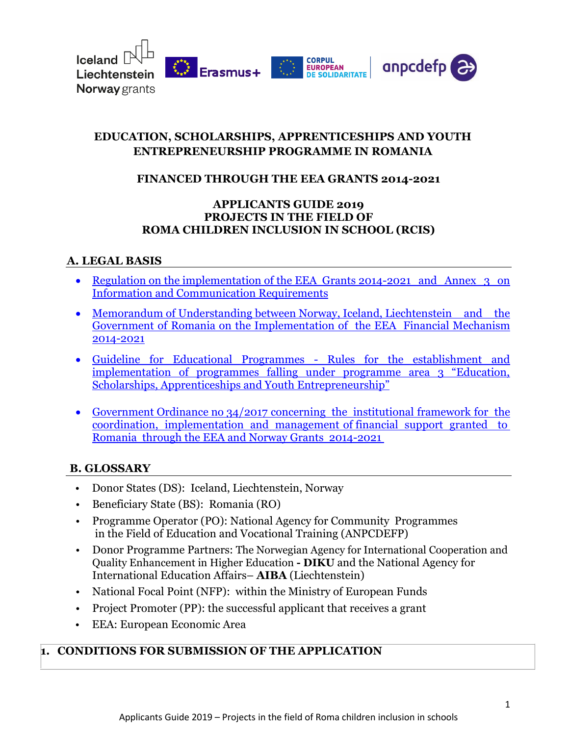

### **EDUCATION, SCHOLARSHIPS, APPRENTICESHIPS AND YOUTH ENTREPRENEURSHIP PROGRAMME IN ROMANIA**

### **FINANCED THROUGH THE EEA GRANTS 2014-2021**

#### **APPLICANTS GUIDE 2019 PROJECTS IN THE FIELD OF ROMA CHILDREN INCLUSION IN SCHOOL (RCIS)**

#### **A. LEGAL BASIS**

- Regulation on the implementation of the EEA Grants 2014-2021 and Annex 3 on [Information and Communication Requirements](https://eeagrants.org/resources/regulation-implementation-eea-grants-2014-2021)
- Memorandum of Understanding between Norway, Iceland, Liechtenstein and the [Government of Romania on the Implementation of the EEA Financial Mechanism](https://eeagrants.org/resources?title=&field_resource_type_target_id=185&field_countries_target_idBD=150)  [2014-2021](https://eeagrants.org/resources?title=&field_resource_type_target_id=185&field_countries_target_idBD=150)
- [Guideline for Educational Programmes Rules for the establishment and](https://eeagrants.org/resources/2014-2021-guideline-educational-programmes)  [implementation of programmes falling under programme area 3 "Education,](https://eeagrants.org/resources/2014-2021-guideline-educational-programmes)  Schol[arships, Apprenticeships and Youth Entrepreneurship"](https://eeagrants.org/resources/2014-2021-guideline-educational-programmes)
- Government Ordinance no 34/2017 concerning the institutional framework for the [coordination, implementation and management of financial support granted to](https://www.eeagrants.ro/files/upload-dir/59-oug---34-2017-cu-modif-31102017.pdf)  [Romania through the EEA and Norway Grants 2014-2021](https://www.eeagrants.ro/files/upload-dir/59-oug---34-2017-cu-modif-31102017.pdf)

#### **B. GLOSSARY**

- Donor States (DS): Iceland, Liechtenstein, Norway
- Beneficiary State (BS): Romania (RO)
- Programme Operator (PO): National Agency for Community Programmes in the Field of Education and Vocational Training (ANPCDEFP)
- Donor Programme Partners: The Norwegian Agency for International Cooperation and Quality Enhancement in Higher Education **- DIKU** and the National Agency for International Education Affairs– **AIBA** (Liechtenstein)
- National Focal Point (NFP): within the [Ministry of European Funds](http://www.mdrap.gov.ro/)
- Project Promoter (PP): the successful applicant that receives a grant
- EEA: European Economic Area

### **1. CONDITIONS FOR SUBMISSION OF THE APPLICATION**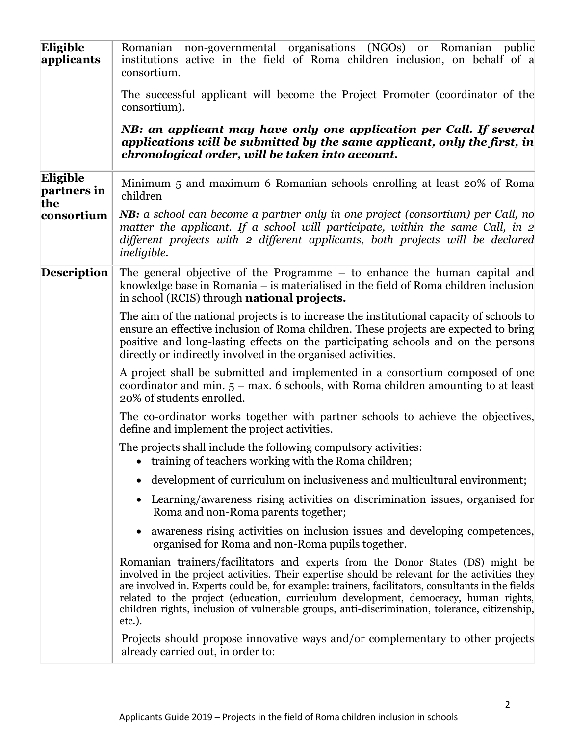| Eligible<br>applicants         | Romanian non-governmental organisations (NGOs) or Romanian public<br>institutions active in the field of Roma children inclusion, on behalf of a<br>consortium.                                                                                                                                                                                                                                                                                                                         |
|--------------------------------|-----------------------------------------------------------------------------------------------------------------------------------------------------------------------------------------------------------------------------------------------------------------------------------------------------------------------------------------------------------------------------------------------------------------------------------------------------------------------------------------|
|                                | The successful applicant will become the Project Promoter (coordinator of the<br>consortium).                                                                                                                                                                                                                                                                                                                                                                                           |
|                                | NB: an applicant may have only one application per Call. If several<br>applications will be submitted by the same applicant, only the first, in<br>chronological order, will be taken into account.                                                                                                                                                                                                                                                                                     |
| Eligible<br>partners in<br>the | Minimum 5 and maximum 6 Romanian schools enrolling at least 20% of Roma<br>children                                                                                                                                                                                                                                                                                                                                                                                                     |
| consortium                     | <b>NB:</b> a school can become a partner only in one project (consortium) per Call, no<br>matter the applicant. If a school will participate, within the same Call, in $2$<br>different projects with 2 different applicants, both projects will be declared<br><i>ineligible.</i>                                                                                                                                                                                                      |
| <b>Description</b>             | The general objective of the Programme – to enhance the human capital and<br>knowledge base in Romania – is materialised in the field of Roma children inclusion<br>in school (RCIS) through <b>national projects.</b>                                                                                                                                                                                                                                                                  |
|                                | The aim of the national projects is to increase the institutional capacity of schools to<br>ensure an effective inclusion of Roma children. These projects are expected to bring<br>positive and long-lasting effects on the participating schools and on the persons<br>directly or indirectly involved in the organised activities.                                                                                                                                                   |
|                                | A project shall be submitted and implemented in a consortium composed of one<br>coordinator and min. $5 - \text{max}$ . 6 schools, with Roma children amounting to at least<br>20% of students enrolled.                                                                                                                                                                                                                                                                                |
|                                | The co-ordinator works together with partner schools to achieve the objectives,<br>define and implement the project activities.                                                                                                                                                                                                                                                                                                                                                         |
|                                | The projects shall include the following compulsory activities:<br>training of teachers working with the Roma children;                                                                                                                                                                                                                                                                                                                                                                 |
|                                | development of curriculum on inclusiveness and multicultural environment;<br>$\bullet$                                                                                                                                                                                                                                                                                                                                                                                                  |
|                                | Learning/awareness rising activities on discrimination issues, organised for<br>Roma and non-Roma parents together;                                                                                                                                                                                                                                                                                                                                                                     |
|                                | awareness rising activities on inclusion issues and developing competences,<br>organised for Roma and non-Roma pupils together.                                                                                                                                                                                                                                                                                                                                                         |
|                                | Romanian trainers/facilitators and experts from the Donor States (DS) might be<br>involved in the project activities. Their expertise should be relevant for the activities they<br>are involved in. Experts could be, for example: trainers, facilitators, consultants in the fields<br>related to the project (education, curriculum development, democracy, human rights,<br>children rights, inclusion of vulnerable groups, anti-discrimination, tolerance, citizenship,<br>etc.). |
|                                | Projects should propose innovative ways and/or complementary to other projects<br>already carried out, in order to:                                                                                                                                                                                                                                                                                                                                                                     |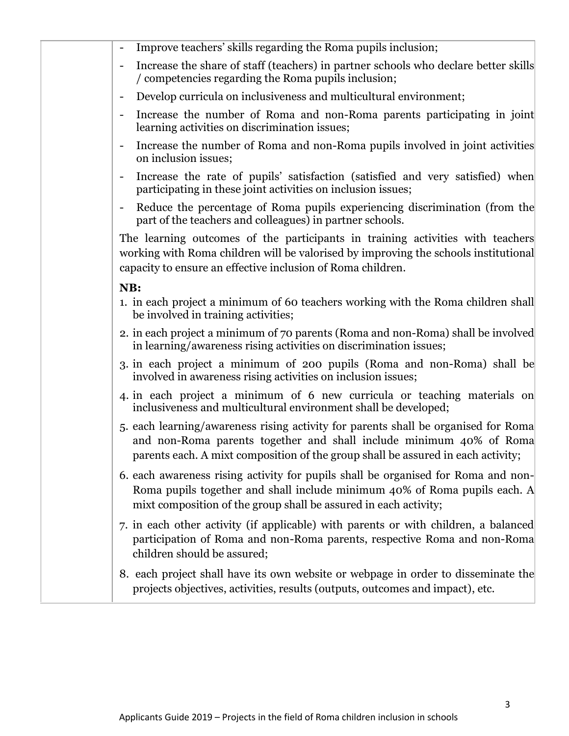| Improve teachers' skills regarding the Roma pupils inclusion;                                                                                                                                                                                 |
|-----------------------------------------------------------------------------------------------------------------------------------------------------------------------------------------------------------------------------------------------|
| Increase the share of staff (teachers) in partner schools who declare better skills<br>/ competencies regarding the Roma pupils inclusion;                                                                                                    |
| Develop curricula on inclusiveness and multicultural environment;<br>$\qquad \qquad \blacksquare$                                                                                                                                             |
| Increase the number of Roma and non-Roma parents participating in joint<br>$\overline{\phantom{a}}$<br>learning activities on discrimination issues;                                                                                          |
| Increase the number of Roma and non-Roma pupils involved in joint activities<br>$\qquad \qquad \blacksquare$<br>on inclusion issues;                                                                                                          |
| Increase the rate of pupils' satisfaction (satisfied and very satisfied) when<br>$\overline{\phantom{a}}$<br>participating in these joint activities on inclusion issues;                                                                     |
| Reduce the percentage of Roma pupils experiencing discrimination (from the<br>$\overline{\phantom{a}}$<br>part of the teachers and colleagues) in partner schools.                                                                            |
| The learning outcomes of the participants in training activities with teachers<br>working with Roma children will be valorised by improving the schools institutional<br>capacity to ensure an effective inclusion of Roma children.          |
| NB:                                                                                                                                                                                                                                           |
| 1. in each project a minimum of 60 teachers working with the Roma children shall<br>be involved in training activities;                                                                                                                       |
| 2. in each project a minimum of 70 parents (Roma and non-Roma) shall be involved<br>in learning/awareness rising activities on discrimination issues;                                                                                         |
| 3. in each project a minimum of 200 pupils (Roma and non-Roma) shall be<br>involved in awareness rising activities on inclusion issues;                                                                                                       |
| 4. in each project a minimum of 6 new curricula or teaching materials on<br>inclusiveness and multicultural environment shall be developed;                                                                                                   |
| 5. each learning/awareness rising activity for parents shall be organised for Roma<br>and non-Roma parents together and shall include minimum 40% of Roma<br>parents each. A mixt composition of the group shall be assured in each activity; |
| 6. each awareness rising activity for pupils shall be organised for Roma and non-<br>Roma pupils together and shall include minimum 40% of Roma pupils each. A<br>mixt composition of the group shall be assured in each activity;            |
| 7. in each other activity (if applicable) with parents or with children, a balanced<br>participation of Roma and non-Roma parents, respective Roma and non-Roma<br>children should be assured;                                                |
| 8. each project shall have its own website or webpage in order to disseminate the<br>projects objectives, activities, results (outputs, outcomes and impact), etc.                                                                            |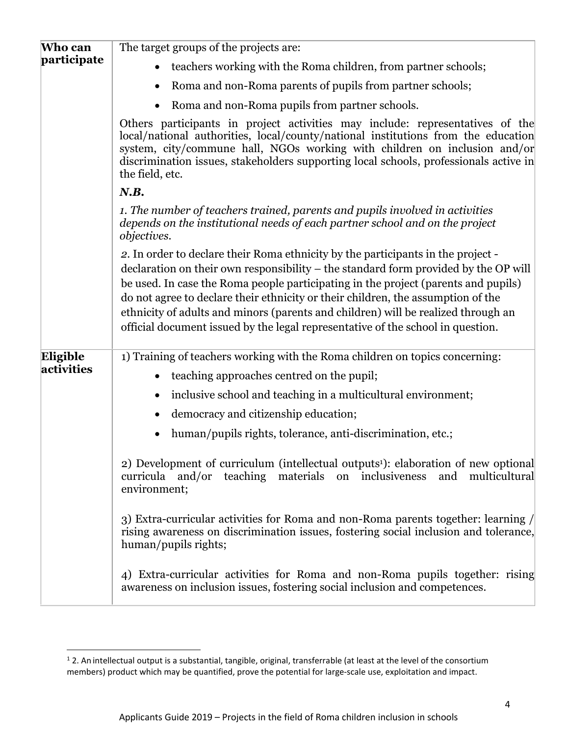| Who can                | The target groups of the projects are:                                                                                                                                                                                                                                                                                                                                                                                                                                                                                    |  |  |  |  |
|------------------------|---------------------------------------------------------------------------------------------------------------------------------------------------------------------------------------------------------------------------------------------------------------------------------------------------------------------------------------------------------------------------------------------------------------------------------------------------------------------------------------------------------------------------|--|--|--|--|
| participate            | teachers working with the Roma children, from partner schools;                                                                                                                                                                                                                                                                                                                                                                                                                                                            |  |  |  |  |
|                        | Roma and non-Roma parents of pupils from partner schools;<br>$\bullet$                                                                                                                                                                                                                                                                                                                                                                                                                                                    |  |  |  |  |
|                        | Roma and non-Roma pupils from partner schools.<br>$\bullet$                                                                                                                                                                                                                                                                                                                                                                                                                                                               |  |  |  |  |
|                        | Others participants in project activities may include: representatives of the<br>local/national authorities, local/county/national institutions from the education<br>system, city/commune hall, NGOs working with children on inclusion and/or<br>discrimination issues, stakeholders supporting local schools, professionals active in<br>the field, etc.                                                                                                                                                               |  |  |  |  |
|                        | N.B.                                                                                                                                                                                                                                                                                                                                                                                                                                                                                                                      |  |  |  |  |
|                        | 1. The number of teachers trained, parents and pupils involved in activities<br>depends on the institutional needs of each partner school and on the project<br><i>objectives.</i>                                                                                                                                                                                                                                                                                                                                        |  |  |  |  |
|                        | 2. In order to declare their Roma ethnicity by the participants in the project -<br>declaration on their own responsibility – the standard form provided by the OP will<br>be used. In case the Roma people participating in the project (parents and pupils)<br>do not agree to declare their ethnicity or their children, the assumption of the<br>ethnicity of adults and minors (parents and children) will be realized through an<br>official document issued by the legal representative of the school in question. |  |  |  |  |
| Eligible<br>activities | 1) Training of teachers working with the Roma children on topics concerning:<br>teaching approaches centred on the pupil;<br>$\bullet$                                                                                                                                                                                                                                                                                                                                                                                    |  |  |  |  |
|                        | inclusive school and teaching in a multicultural environment;<br>$\bullet$                                                                                                                                                                                                                                                                                                                                                                                                                                                |  |  |  |  |
|                        | democracy and citizenship education;<br>$\bullet$                                                                                                                                                                                                                                                                                                                                                                                                                                                                         |  |  |  |  |
|                        | human/pupils rights, tolerance, anti-discrimination, etc.;                                                                                                                                                                                                                                                                                                                                                                                                                                                                |  |  |  |  |
|                        | 2) Development of curriculum (intellectual outputs <sup>1</sup> ): elaboration of new optional<br>curricula and/or teaching materials on inclusiveness<br>and multicultural<br>environment;                                                                                                                                                                                                                                                                                                                               |  |  |  |  |
|                        | 3) Extra-curricular activities for Roma and non-Roma parents together: learning /<br>rising awareness on discrimination issues, fostering social inclusion and tolerance,<br>human/pupils rights;                                                                                                                                                                                                                                                                                                                         |  |  |  |  |
|                        | 4) Extra-curricular activities for Roma and non-Roma pupils together: rising<br>awareness on inclusion issues, fostering social inclusion and competences.                                                                                                                                                                                                                                                                                                                                                                |  |  |  |  |

 $1$  2. An intellectual output is a substantial, tangible, original, transferrable (at least at the level of the consortium members) product which may be quantified, prove the potential for large-scale use, exploitation and impact.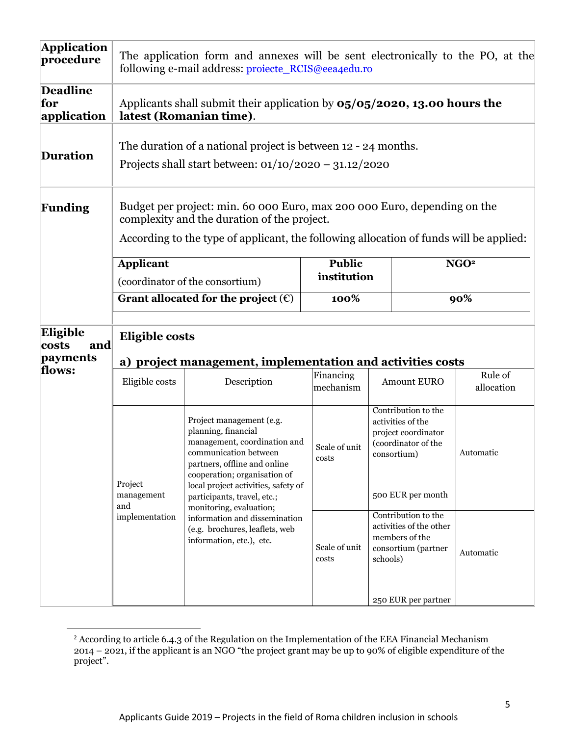| <b>Application</b><br>procedure       | The application form and annexes will be sent electronically to the PO, at the<br>following e-mail address: projecte_RCIS@eea4edu.ro                                                                              |                                                                                                                                                                                                                                                |                        |                                                                                                                            |                       |  |
|---------------------------------------|-------------------------------------------------------------------------------------------------------------------------------------------------------------------------------------------------------------------|------------------------------------------------------------------------------------------------------------------------------------------------------------------------------------------------------------------------------------------------|------------------------|----------------------------------------------------------------------------------------------------------------------------|-----------------------|--|
| <b>Deadline</b><br>for<br>application | Applicants shall submit their application by $0.5/0.5/2020$ , 13.00 hours the<br>latest (Romanian time).                                                                                                          |                                                                                                                                                                                                                                                |                        |                                                                                                                            |                       |  |
| <b>Duration</b>                       | The duration of a national project is between 12 - 24 months.<br>Projects shall start between: $01/10/2020 - 31.12/2020$                                                                                          |                                                                                                                                                                                                                                                |                        |                                                                                                                            |                       |  |
| <b>Funding</b>                        | Budget per project: min. 60 000 Euro, max 200 000 Euro, depending on the<br>complexity and the duration of the project.<br>According to the type of applicant, the following allocation of funds will be applied: |                                                                                                                                                                                                                                                |                        |                                                                                                                            |                       |  |
|                                       | <b>Applicant</b>                                                                                                                                                                                                  |                                                                                                                                                                                                                                                | <b>Public</b>          |                                                                                                                            | NGO <sup>2</sup>      |  |
|                                       | (coordinator of the consortium)                                                                                                                                                                                   |                                                                                                                                                                                                                                                | institution            |                                                                                                                            |                       |  |
|                                       | Grant allocated for the project $(\epsilon)$                                                                                                                                                                      |                                                                                                                                                                                                                                                | 100%                   |                                                                                                                            | 90%                   |  |
| Eligible<br>and<br>costs<br>payments  | <b>Eligible costs</b>                                                                                                                                                                                             |                                                                                                                                                                                                                                                |                        |                                                                                                                            |                       |  |
| flows:                                | Eligible costs                                                                                                                                                                                                    | a) project management, implementation and activities costs<br>Description                                                                                                                                                                      | Financing<br>mechanism | <b>Amount EURO</b>                                                                                                         | Rule of<br>allocation |  |
|                                       | Project<br>management<br>and                                                                                                                                                                                      | Project management (e.g.<br>planning, financial<br>management, coordination and<br>communication between<br>partners, offline and online<br>cooperation; organisation of<br>local project activities, safety of<br>participants, travel, etc.; |                        | Contribution to the<br>activities of the<br>project coordinator<br>(coordinator of the<br>consortium)<br>500 EUR per month | Automatic             |  |
|                                       | monitoring, evaluation;<br>implementation<br>information and dissemination<br>(e.g. brochures, leaflets, web<br>information, etc.), etc.                                                                          |                                                                                                                                                                                                                                                | Scale of unit<br>costs | Contribution to the<br>activities of the other<br>members of the<br>consortium (partner<br>schools)                        | Automatic             |  |
|                                       |                                                                                                                                                                                                                   |                                                                                                                                                                                                                                                |                        | 250 EUR per partner                                                                                                        |                       |  |

 $2$  According to article 6.4.3 of the Regulation on the Implementation of the EEA Financial Mechanism 2014 – 2021, if the applicant is an NGO "the project grant may be up to 90% of eligible expenditure of the project".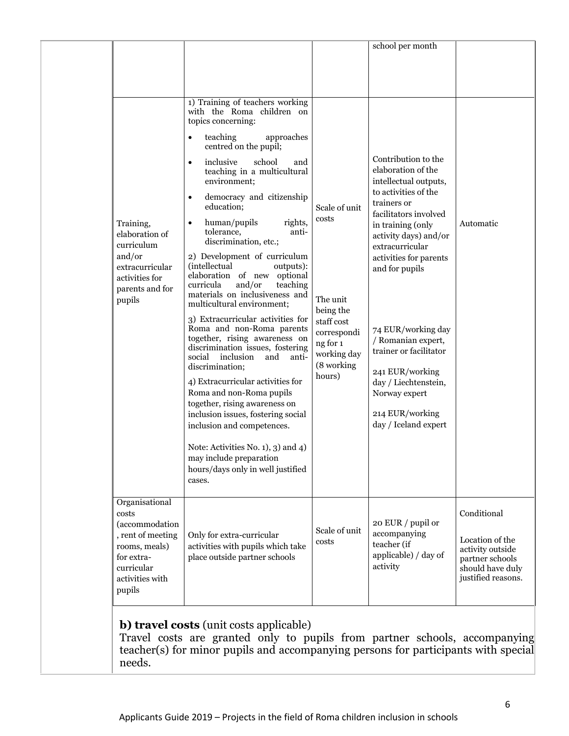Travel costs are granted only to pupils from partner schools, accompanying teacher(s) for minor pupils and accompanying persons for participants with special needs.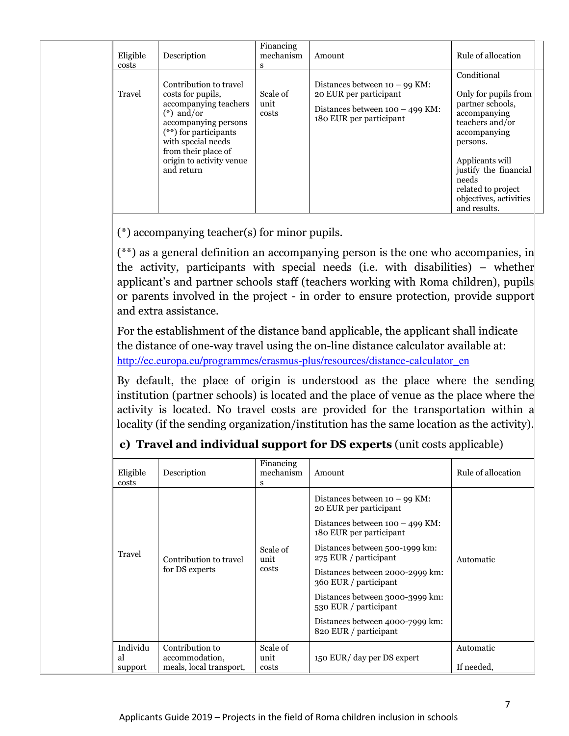| Eligible<br>costs | Description                                                                                                                                                                                                                    | Financing<br>mechanism<br>S | Amount                                                                                                                    | Rule of allocation                                                                                                                                                                                                                          |
|-------------------|--------------------------------------------------------------------------------------------------------------------------------------------------------------------------------------------------------------------------------|-----------------------------|---------------------------------------------------------------------------------------------------------------------------|---------------------------------------------------------------------------------------------------------------------------------------------------------------------------------------------------------------------------------------------|
| Travel            | Contribution to travel<br>costs for pupils,<br>accompanying teachers<br>$(*)$ and/or<br>accompanying persons<br>$(**)$ for participants<br>with special needs<br>from their place of<br>origin to activity venue<br>and return | Scale of<br>unit<br>costs   | Distances between $10 - 99$ KM:<br>20 EUR per participant<br>Distances between $100 - 499$ KM:<br>180 EUR per participant | Conditional<br>Only for pupils from<br>partner schools,<br>accompanying<br>teachers and/or<br>accompanying<br>persons.<br>Applicants will<br>justify the financial<br>needs<br>related to project<br>objectives, activities<br>and results. |

(\*) accompanying teacher(s) for minor pupils.

(\*\*) as a general definition an accompanying person is the one who accompanies, in the activity, participants with special needs (i.e. with disabilities) – whether applicant's and partner schools staff (teachers working with Roma children), pupils or parents involved in the project - in order to ensure protection, provide support and extra assistance.

For the establishment of the distance band applicable, the applicant shall indicate the distance of one-way travel using the on-line distance calculator available at: [http://ec.europa.eu/programmes/erasmus-plus/resources/distance-calculator\\_en](http://ec.europa.eu/programmes/erasmus-plus/resources/distance-calculator_en)

By default, the place of origin is understood as the place where the sending institution (partner schools) is located and the place of venue as the place where the activity is located. No travel costs are provided for the transportation within a locality (if the sending organization/institution has the same location as the activity).

| Eligible<br>costs         | Description                                                  | Financing<br>mechanism<br>s | Amount                                                                                                                                                                                                                                                                                                                                                                   | Rule of allocation      |
|---------------------------|--------------------------------------------------------------|-----------------------------|--------------------------------------------------------------------------------------------------------------------------------------------------------------------------------------------------------------------------------------------------------------------------------------------------------------------------------------------------------------------------|-------------------------|
| Travel                    | Contribution to travel<br>for DS experts                     | Scale of<br>unit<br>costs   | Distances between $10 - 99$ KM:<br>20 EUR per participant<br>Distances between $100 - 499$ KM:<br>180 EUR per participant<br>Distances between 500-1999 km:<br>275 EUR / participant<br>Distances between 2000-2999 km:<br>360 EUR / participant<br>Distances between 3000-3999 km:<br>530 EUR / participant<br>Distances between 4000-7999 km:<br>820 EUR / participant | Automatic               |
| Individu<br>al<br>support | Contribution to<br>accommodation,<br>meals, local transport, | Scale of<br>unit<br>costs   | 150 EUR/ day per DS expert                                                                                                                                                                                                                                                                                                                                               | Automatic<br>If needed, |

# **c) Travel and individual support for DS experts** (unit costs applicable)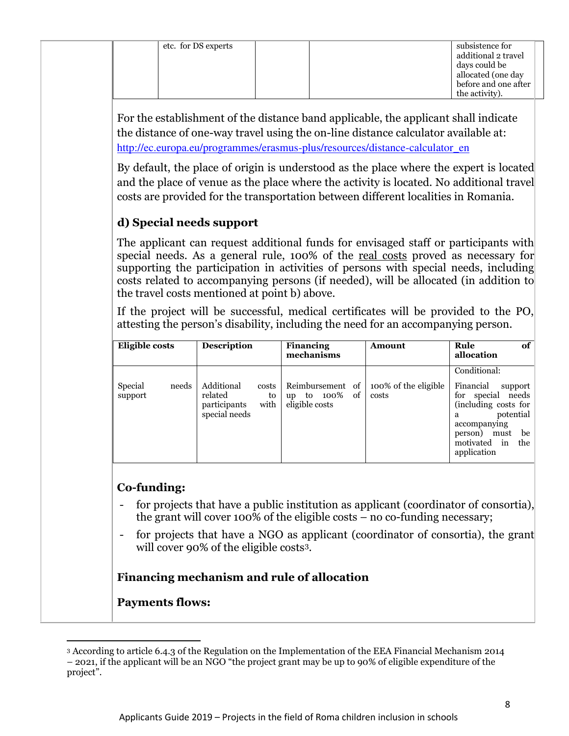For the establishment of the distance band applicable, the applicant shall indicate the distance of one-way travel using the on-line distance calculator available at: [http://ec.europa.eu/programmes/erasmus-plus/resources/distance-calculator\\_en](http://ec.europa.eu/programmes/erasmus-plus/resources/distance-calculator_en)

By default, the place of origin is understood as the place where the expert is located and the place of venue as the place where the activity is located. No additional travel costs are provided for the transportation between different localities in Romania.

# **d) Special needs support**

The applicant can request additional funds for envisaged staff or participants with special needs. As a general rule, 100% of the real costs proved as necessary for supporting the participation in activities of persons with special needs, including costs related to accompanying persons (if needed), will be allocated (in addition to the travel costs mentioned at point b) above.

If the project will be successful, medical certificates will be provided to the PO, attesting the person's disability, including the need for an accompanying person.

| Eligible costs              | <b>Description</b>                                                            | <b>Financing</b><br>mechanisms                                | Amount                        | of<br>Rule<br>allocation                                                                                                                                                                         |
|-----------------------------|-------------------------------------------------------------------------------|---------------------------------------------------------------|-------------------------------|--------------------------------------------------------------------------------------------------------------------------------------------------------------------------------------------------|
| Special<br>needs<br>support | Additional<br>costs<br>related<br>to<br>with<br>participants<br>special needs | Reimbursement of<br>100%<br>-of<br>to<br>up<br>eligible costs | 100% of the eligible<br>costs | Conditional:<br>Financial<br>support<br>special<br>needs<br>for<br>(including costs for $\vert$<br>potential<br>a<br>accompanying<br>be<br>person)<br>must<br>motivated in<br>the<br>application |

## **Co-funding:**

- for projects that have a public institution as applicant (coordinator of consortia), the grant will cover 100% of the eligible costs – no co-funding necessary;
- for projects that have a NGO as applicant (coordinator of consortia), the grant will cover 90% of the eligible costs<sup>3</sup>.

## **Financing mechanism and rule of allocation**

## **Payments flows:**

<sup>3</sup> According to article 6.4.3 of the Regulation on the Implementation of the EEA Financial Mechanism 2014 – 2021, if the applicant will be an NGO "the project grant may be up to 90% of eligible expenditure of the project".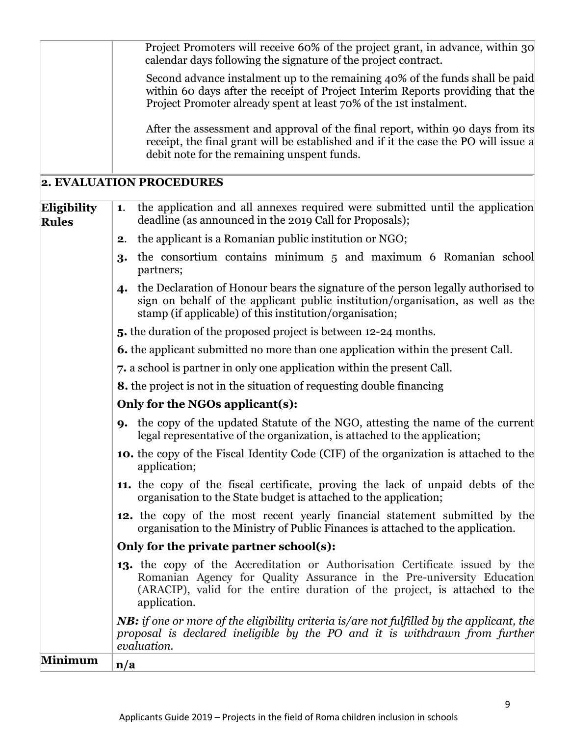|                             | Project Promoters will receive 60% of the project grant, in advance, within 30<br>calendar days following the signature of the project contract.                                                                                                           |  |  |  |  |  |
|-----------------------------|------------------------------------------------------------------------------------------------------------------------------------------------------------------------------------------------------------------------------------------------------------|--|--|--|--|--|
|                             | Second advance instalment up to the remaining 40% of the funds shall be paid<br>within 60 days after the receipt of Project Interim Reports providing that the<br>Project Promoter already spent at least 70% of the 1st instalment.                       |  |  |  |  |  |
|                             | After the assessment and approval of the final report, within 90 days from its<br>receipt, the final grant will be established and if it the case the PO will issue a<br>debit note for the remaining unspent funds.                                       |  |  |  |  |  |
|                             | 2. EVALUATION PROCEDURES                                                                                                                                                                                                                                   |  |  |  |  |  |
| Eligibility<br><b>Rules</b> | the application and all annexes required were submitted until the application<br>1.<br>deadline (as announced in the 2019 Call for Proposals);                                                                                                             |  |  |  |  |  |
|                             | the applicant is a Romanian public institution or NGO;<br>2.                                                                                                                                                                                               |  |  |  |  |  |
|                             | the consortium contains minimum 5 and maximum 6 Romanian school<br>3.<br>partners;                                                                                                                                                                         |  |  |  |  |  |
|                             | the Declaration of Honour bears the signature of the person legally authorised to<br>$\boldsymbol{4}$<br>sign on behalf of the applicant public institution/organisation, as well as the<br>stamp (if applicable) of this institution/organisation;        |  |  |  |  |  |
|                             | 5. the duration of the proposed project is between 12-24 months.                                                                                                                                                                                           |  |  |  |  |  |
|                             | <b>6.</b> the applicant submitted no more than one application within the present Call.                                                                                                                                                                    |  |  |  |  |  |
|                             | 7. a school is partner in only one application within the present Call.                                                                                                                                                                                    |  |  |  |  |  |
|                             | <b>8.</b> the project is not in the situation of requesting double financing                                                                                                                                                                               |  |  |  |  |  |
|                             | Only for the NGOs applicant(s):                                                                                                                                                                                                                            |  |  |  |  |  |
|                             | <b>9.</b> the copy of the updated Statute of the NGO, attesting the name of the current<br>legal representative of the organization, is attached to the application;                                                                                       |  |  |  |  |  |
|                             | 10. the copy of the Fiscal Identity Code (CIF) of the organization is attached to the<br>application;                                                                                                                                                      |  |  |  |  |  |
|                             | 11. the copy of the fiscal certificate, proving the lack of unpaid debts of the<br>organisation to the State budget is attached to the application;                                                                                                        |  |  |  |  |  |
|                             | 12. the copy of the most recent yearly financial statement submitted by the<br>organisation to the Ministry of Public Finances is attached to the application.                                                                                             |  |  |  |  |  |
|                             | Only for the private partner school(s):                                                                                                                                                                                                                    |  |  |  |  |  |
|                             | <b>13.</b> the copy of the Accreditation or Authorisation Certificate issued by the<br>Romanian Agency for Quality Assurance in the Pre-university Education<br>(ARACIP), valid for the entire duration of the project, is attached to the<br>application. |  |  |  |  |  |
|                             | <b>NB:</b> if one or more of the eligibility criteria is/are not fulfilled by the applicant, the<br>proposal is declared ineligible by the PO and it is withdrawn from further<br>evaluation.                                                              |  |  |  |  |  |
| <b>Minimum</b>              | n/a                                                                                                                                                                                                                                                        |  |  |  |  |  |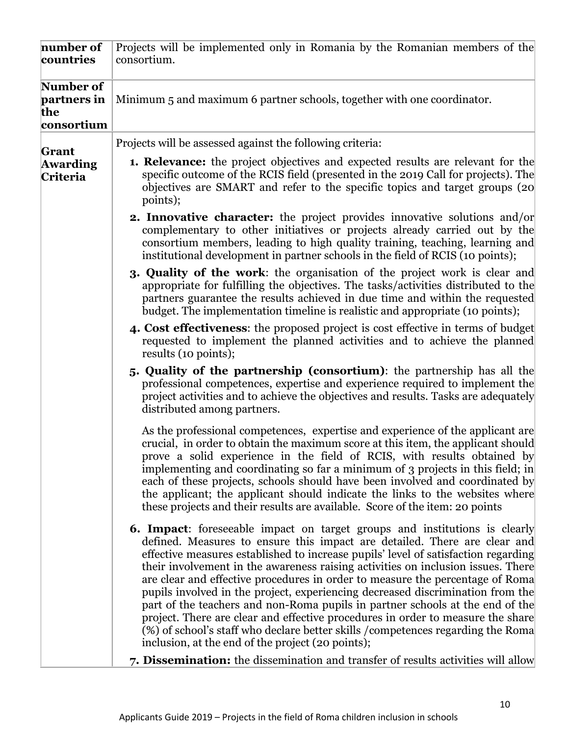| number of<br>countries                        | Projects will be implemented only in Romania by the Romanian members of the<br>consortium.                                                                                                                                                                                                                                                                                                                                                                                                                                                                                                                                                                                                                                                                                                                               |
|-----------------------------------------------|--------------------------------------------------------------------------------------------------------------------------------------------------------------------------------------------------------------------------------------------------------------------------------------------------------------------------------------------------------------------------------------------------------------------------------------------------------------------------------------------------------------------------------------------------------------------------------------------------------------------------------------------------------------------------------------------------------------------------------------------------------------------------------------------------------------------------|
| Number of<br>partners in<br>the<br>consortium | Minimum 5 and maximum 6 partner schools, together with one coordinator.                                                                                                                                                                                                                                                                                                                                                                                                                                                                                                                                                                                                                                                                                                                                                  |
| Grant                                         | Projects will be assessed against the following criteria:                                                                                                                                                                                                                                                                                                                                                                                                                                                                                                                                                                                                                                                                                                                                                                |
| <b>Awarding</b><br>Criteria                   | 1. Relevance: the project objectives and expected results are relevant for the<br>specific outcome of the RCIS field (presented in the 2019 Call for projects). The<br>objectives are SMART and refer to the specific topics and target groups (20)<br>points);                                                                                                                                                                                                                                                                                                                                                                                                                                                                                                                                                          |
|                                               | <b>2. Innovative character:</b> the project provides innovative solutions and/or<br>complementary to other initiatives or projects already carried out by the<br>consortium members, leading to high quality training, teaching, learning and<br>institutional development in partner schools in the field of RCIS (10 points);                                                                                                                                                                                                                                                                                                                                                                                                                                                                                          |
|                                               | <b>3. Quality of the work:</b> the organisation of the project work is clear and<br>appropriate for fulfilling the objectives. The tasks/activities distributed to the<br>partners guarantee the results achieved in due time and within the requested<br>budget. The implementation timeline is realistic and appropriate (10 points);                                                                                                                                                                                                                                                                                                                                                                                                                                                                                  |
|                                               | 4. Cost effectiveness: the proposed project is cost effective in terms of budget<br>requested to implement the planned activities and to achieve the planned<br>results (10 points);                                                                                                                                                                                                                                                                                                                                                                                                                                                                                                                                                                                                                                     |
|                                               | 5. Quality of the partnership (consortium): the partnership has all the<br>professional competences, expertise and experience required to implement the<br>project activities and to achieve the objectives and results. Tasks are adequately<br>distributed among partners.                                                                                                                                                                                                                                                                                                                                                                                                                                                                                                                                             |
|                                               | As the professional competences, expertise and experience of the applicant are<br>crucial, in order to obtain the maximum score at this item, the applicant should<br>prove a solid experience in the field of RCIS, with results obtained by<br>implementing and coordinating so far a minimum of 3 projects in this field; in<br>each of these projects, schools should have been involved and coordinated by<br>the applicant; the applicant should indicate the links to the websites where<br>these projects and their results are available. Score of the item: 20 points                                                                                                                                                                                                                                          |
|                                               | <b>6. Impact:</b> foreseeable impact on target groups and institutions is clearly<br>defined. Measures to ensure this impact are detailed. There are clear and<br>effective measures established to increase pupils' level of satisfaction regarding<br>their involvement in the awareness raising activities on inclusion issues. There<br>are clear and effective procedures in order to measure the percentage of Roma<br>pupils involved in the project, experiencing decreased discrimination from the<br>part of the teachers and non-Roma pupils in partner schools at the end of the<br>project. There are clear and effective procedures in order to measure the share<br>(%) of school's staff who declare better skills / competences regarding the Roma<br>inclusion, at the end of the project (20 points); |
|                                               | 7. Dissemination: the dissemination and transfer of results activities will allow                                                                                                                                                                                                                                                                                                                                                                                                                                                                                                                                                                                                                                                                                                                                        |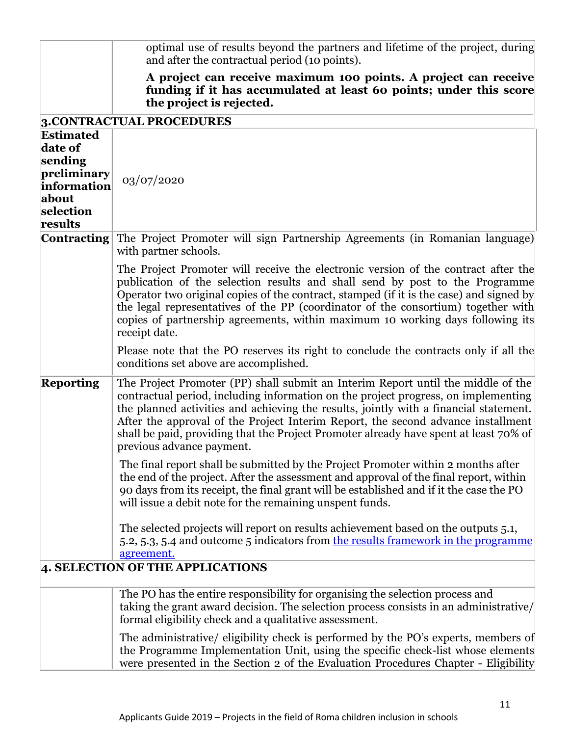|                                                                                                       | optimal use of results beyond the partners and lifetime of the project, during<br>and after the contractual period (10 points).                                                                                                                                                                                                                                                                                                                                           |
|-------------------------------------------------------------------------------------------------------|---------------------------------------------------------------------------------------------------------------------------------------------------------------------------------------------------------------------------------------------------------------------------------------------------------------------------------------------------------------------------------------------------------------------------------------------------------------------------|
|                                                                                                       | A project can receive maximum 100 points. A project can receive<br>funding if it has accumulated at least 60 points; under this score<br>the project is rejected.                                                                                                                                                                                                                                                                                                         |
|                                                                                                       | 3. CONTRACTUAL PROCEDURES                                                                                                                                                                                                                                                                                                                                                                                                                                                 |
| <b>Estimated</b><br>date of<br>sending<br>preliminary<br>information<br>about<br>selection<br>results | 03/07/2020                                                                                                                                                                                                                                                                                                                                                                                                                                                                |
| <b>Contracting</b>                                                                                    | The Project Promoter will sign Partnership Agreements (in Romanian language)<br>with partner schools.                                                                                                                                                                                                                                                                                                                                                                     |
|                                                                                                       | The Project Promoter will receive the electronic version of the contract after the<br>publication of the selection results and shall send by post to the Programme<br>Operator two original copies of the contract, stamped (if it is the case) and signed by<br>the legal representatives of the PP (coordinator of the consortium) together with<br>copies of partnership agreements, within maximum 10 working days following its<br>receipt date.                     |
|                                                                                                       | Please note that the PO reserves its right to conclude the contracts only if all the<br>conditions set above are accomplished.                                                                                                                                                                                                                                                                                                                                            |
| <b>Reporting</b>                                                                                      | The Project Promoter (PP) shall submit an Interim Report until the middle of the<br>contractual period, including information on the project progress, on implementing<br>the planned activities and achieving the results, jointly with a financial statement.<br>After the approval of the Project Interim Report, the second advance installment<br>shall be paid, providing that the Project Promoter already have spent at least 70% of<br>previous advance payment. |
|                                                                                                       | The final report shall be submitted by the Project Promoter within 2 months after<br>the end of the project. After the assessment and approval of the final report, within<br>90 days from its receipt, the final grant will be established and if it the case the PO<br>will issue a debit note for the remaining unspent funds.                                                                                                                                         |
|                                                                                                       | The selected projects will report on results achievement based on the outputs 5.1,<br>5.2, 5.3, 5.4 and outcome 5 indicators from the results framework in the programme<br>agreement.                                                                                                                                                                                                                                                                                    |
|                                                                                                       | 4. SELECTION OF THE APPLICATIONS                                                                                                                                                                                                                                                                                                                                                                                                                                          |
|                                                                                                       | The PO has the entire responsibility for organising the selection process and<br>taking the grant award decision. The selection process consists in an administrative/<br>formal eligibility check and a qualitative assessment.                                                                                                                                                                                                                                          |
|                                                                                                       | The administrative/ eligibility check is performed by the PO's experts, members of<br>the Programme Implementation Unit, using the specific check-list whose elements<br>were presented in the Section 2 of the Evaluation Procedures Chapter - Eligibility                                                                                                                                                                                                               |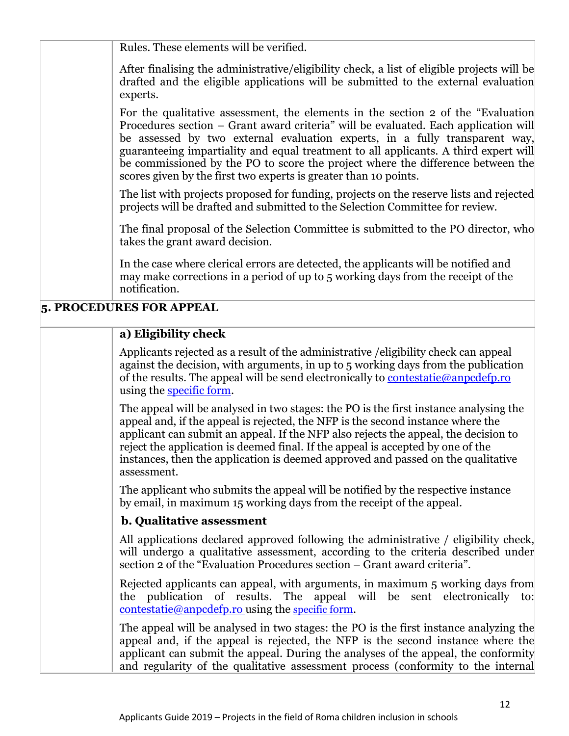Rules. These elements will be verified.

After finalising the administrative/eligibility check, a list of eligible projects will be drafted and the eligible applications will be submitted to the external evaluation experts.

For the qualitative assessment, the elements in the section 2 of the "Evaluation Procedures section – Grant award criteria" will be evaluated. Each application will be assessed by two external evaluation experts, in a fully transparent way, guaranteeing impartiality and equal treatment to all applicants. A third expert will be commissioned by the PO to score the project where the difference between the scores given by the first two experts is greater than 10 points.

The list with projects proposed for funding, projects on the reserve lists and rejected projects will be drafted and submitted to the Selection Committee for review.

The final proposal of the Selection Committee is submitted to the PO director, who takes the grant award decision.

In the case where clerical errors are detected, the applicants will be notified and may make corrections in a period of up to 5 working days from the receipt of the notification.

## **5. PROCEDURES FOR APPEAL**

## **a) Eligibility check**

Applicants rejected as a result of the administrative /eligibility check can appeal against the decision, with arguments, in up to 5 working days from the publication of the results. The appeal will be send electronically to contestatie@anpcdefp.ro using the [specific form.](http://www.eea4edu.ro/wp-content/uploads/2017/12/Formular_CONTESTATIE_13.doc)

The appeal will be analysed in two stages: the PO is the first instance analysing the appeal and, if the appeal is rejected, the NFP is the second instance where the applicant can submit an appeal. If the NFP also rejects the appeal, the decision to reject the application is deemed final. If the appeal is accepted by one of the instances, then the application is deemed approved and passed on the qualitative assessment.

The applicant who submits the appeal will be notified by the respective instance by email, in maximum 15 working days from the receipt of the appeal.

### **b. Qualitative assessment**

All applications declared approved following the administrative / eligibility check, will undergo a qualitative assessment, according to the criteria described under section 2 of the "Evaluation Procedures section – Grant award criteria".

Rejected applicants can appeal, with arguments, in maximum 5 working days from the publication of results. The appeal will be sent electronically to: [contestatie@anpcdefp.ro](mailto:contestatie@anpcdefp.ro) using the [specific f](http://www.eea4edu.ro/wp-content/uploads/2017/12/Formular_CONTESTATIE_13.doc)orm.

The appeal will be analysed in two stages: the PO is the first instance analyzing the appeal and, if the appeal is rejected, the NFP is the second instance where the applicant can submit the appeal. During the analyses of the appeal, the conformity and regularity of the qualitative assessment process (conformity to the internal